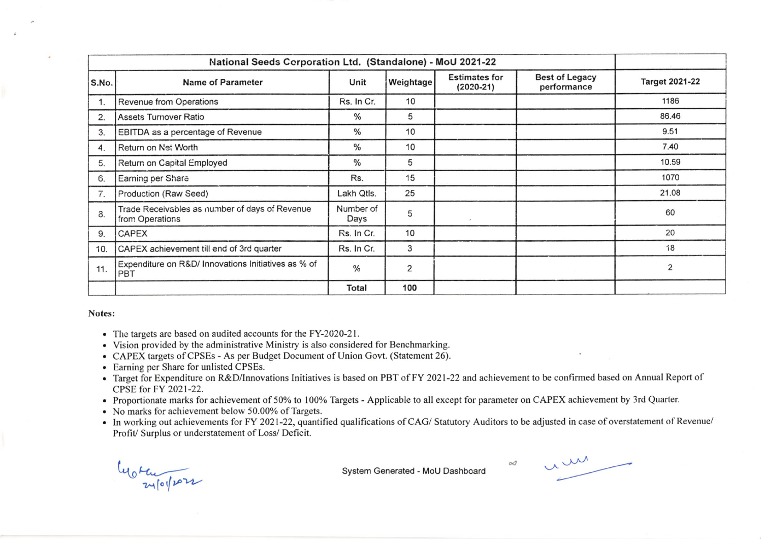| National Seeds Corporation Ltd. (Standalone) - MoU 2021-22 |                                                                   |                   |           |                                     |                                      |                         |  |
|------------------------------------------------------------|-------------------------------------------------------------------|-------------------|-----------|-------------------------------------|--------------------------------------|-------------------------|--|
| S.No.                                                      | <b>Name of Parameter</b>                                          | Unit              | Weightage | <b>Estimates for</b><br>$(2020-21)$ | <b>Best of Legacy</b><br>performance | <b>Target 2021-22</b>   |  |
| 1.                                                         | Revenue from Operations                                           | Rs. In Cr.        | 10        |                                     |                                      | 1186                    |  |
| 2.                                                         | Assets Turnover Ratio                                             | %                 | 5         |                                     |                                      | 86.46                   |  |
| 3.                                                         | EBITDA as a percentage of Revenue                                 | $\%$              | 10        |                                     |                                      | 9.51                    |  |
| 4.                                                         | Return on Net Worth                                               | %                 | 10        |                                     |                                      | 7.40                    |  |
| 5.                                                         | Return on Capital Employed                                        | $\frac{0}{0}$     | 5         |                                     |                                      | 10.59<br>1070           |  |
| G.                                                         | Earning per Share                                                 | Rs.               | 15        |                                     |                                      |                         |  |
| 7.                                                         | Production (Raw Seed)                                             | Lakh Qtls.        | 25        |                                     |                                      | 21.08                   |  |
| 3.                                                         | Trade Receivables as number of days of Revenue<br>from Operations | Number of<br>Days | 5         |                                     |                                      | 60                      |  |
| 9.                                                         | <b>CAPEX</b>                                                      | Rs. In Cr.        | 10        |                                     |                                      | 20                      |  |
| 10.                                                        | CAPEX achievement till end of 3rd quarter                         | Rs. In Cr.        | 3         |                                     |                                      | 18                      |  |
| 11.                                                        | Expenditure on R&D/ Innovations Initiatives as % of<br>PBT        | $\frac{0}{0}$     | 2         |                                     |                                      | $\overline{\mathbf{c}}$ |  |
|                                                            |                                                                   | Total             | 100       |                                     |                                      |                         |  |

## Notes:

- The targets are based on audited accounts for the FY-2020-21.
- Vision provided by the administrative Ministry is also considered for Benchmarking.
- CAPEX targets of CPSEs As per Budget Document of Union Govt. (Statement 26).
- Earning per Share for unlisted CPSEs.
- Target for Expenditure on R&D/Innovations Initiatives is based on PBT of FY 2021-22 and achievement to be confirmed based on Annual Report of CPSE for FY 2021-22.
- Proportionate marks for achievement of 50% to 100% Targets Applicable to all except for parameter on CAPEX achievement by 3rd Quarter.
- No marks for achievement below 50.00% of Targets.
- In working out achievements for FY 2021-22, quantified qualifications of CAG/Statutory Auditors to be adjusted in case of overstatement of Revenue/ Profit/ Surplus or understatement of Loss/ Deficit.

Worker

System Generated - MoU Dashboard

um

 $\infty$